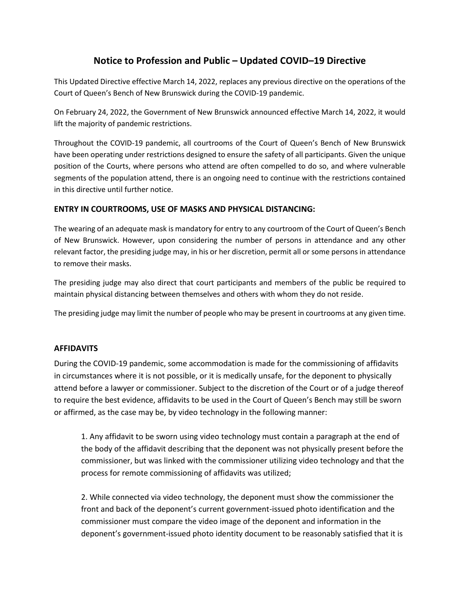# **Notice to Profession and Public – Updated COVID–19 Directive**

This Updated Directive effective March 14, 2022, replaces any previous directive on the operations of the Court of Queen's Bench of New Brunswick during the COVID-19 pandemic.

On February 24, 2022, the Government of New Brunswick announced effective March 14, 2022, it would lift the majority of pandemic restrictions.

Throughout the COVID-19 pandemic, all courtrooms of the Court of Queen's Bench of New Brunswick have been operating under restrictions designed to ensure the safety of all participants. Given the unique position of the Courts, where persons who attend are often compelled to do so, and where vulnerable segments of the population attend, there is an ongoing need to continue with the restrictions contained in this directive until further notice.

#### **ENTRY IN COURTROOMS, USE OF MASKS AND PHYSICAL DISTANCING:**

The wearing of an adequate mask is mandatory for entry to any courtroom of the Court of Queen's Bench of New Brunswick. However, upon considering the number of persons in attendance and any other relevant factor, the presiding judge may, in his or her discretion, permit all or some persons in attendance to remove their masks.

The presiding judge may also direct that court participants and members of the public be required to maintain physical distancing between themselves and others with whom they do not reside.

The presiding judge may limit the number of people who may be present in courtrooms at any given time.

#### **AFFIDAVITS**

During the COVID-19 pandemic, some accommodation is made for the commissioning of affidavits in circumstances where it is not possible, or it is medically unsafe, for the deponent to physically attend before a lawyer or commissioner. Subject to the discretion of the Court or of a judge thereof to require the best evidence, affidavits to be used in the Court of Queen's Bench may still be sworn or affirmed, as the case may be, by video technology in the following manner:

1. Any affidavit to be sworn using video technology must contain a paragraph at the end of the body of the affidavit describing that the deponent was not physically present before the commissioner, but was linked with the commissioner utilizing video technology and that the process for remote commissioning of affidavits was utilized;

2. While connected via video technology, the deponent must show the commissioner the front and back of the deponent's current government-issued photo identification and the commissioner must compare the video image of the deponent and information in the deponent's government-issued photo identity document to be reasonably satisfied that it is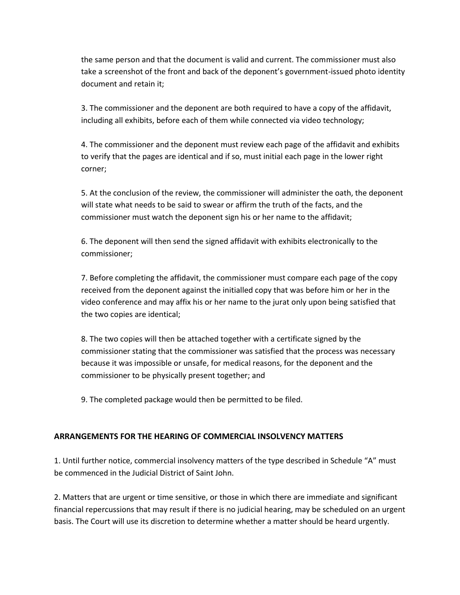the same person and that the document is valid and current. The commissioner must also take a screenshot of the front and back of the deponent's government-issued photo identity document and retain it;

3. The commissioner and the deponent are both required to have a copy of the affidavit, including all exhibits, before each of them while connected via video technology;

4. The commissioner and the deponent must review each page of the affidavit and exhibits to verify that the pages are identical and if so, must initial each page in the lower right corner;

5. At the conclusion of the review, the commissioner will administer the oath, the deponent will state what needs to be said to swear or affirm the truth of the facts, and the commissioner must watch the deponent sign his or her name to the affidavit;

6. The deponent will then send the signed affidavit with exhibits electronically to the commissioner;

7. Before completing the affidavit, the commissioner must compare each page of the copy received from the deponent against the initialled copy that was before him or her in the video conference and may affix his or her name to the jurat only upon being satisfied that the two copies are identical;

8. The two copies will then be attached together with a certificate signed by the commissioner stating that the commissioner was satisfied that the process was necessary because it was impossible or unsafe, for medical reasons, for the deponent and the commissioner to be physically present together; and

9. The completed package would then be permitted to be filed.

### **ARRANGEMENTS FOR THE HEARING OF COMMERCIAL INSOLVENCY MATTERS**

1. Until further notice, commercial insolvency matters of the type described in Schedule "A" must be commenced in the Judicial District of Saint John.

2. Matters that are urgent or time sensitive, or those in which there are immediate and significant financial repercussions that may result if there is no judicial hearing, may be scheduled on an urgent basis. The Court will use its discretion to determine whether a matter should be heard urgently.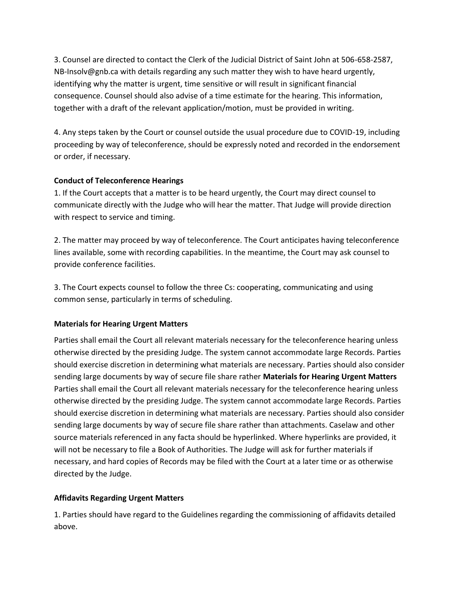3. Counsel are directed to contact the Clerk of the Judicial District of Saint John at 506-658-2587, NB-Insolv@gnb.ca with details regarding any such matter they wish to have heard urgently, identifying why the matter is urgent, time sensitive or will result in significant financial consequence. Counsel should also advise of a time estimate for the hearing. This information, together with a draft of the relevant application/motion, must be provided in writing.

4. Any steps taken by the Court or counsel outside the usual procedure due to COVID-19, including proceeding by way of teleconference, should be expressly noted and recorded in the endorsement or order, if necessary.

#### **Conduct of Teleconference Hearings**

1. If the Court accepts that a matter is to be heard urgently, the Court may direct counsel to communicate directly with the Judge who will hear the matter. That Judge will provide direction with respect to service and timing.

2. The matter may proceed by way of teleconference. The Court anticipates having teleconference lines available, some with recording capabilities. In the meantime, the Court may ask counsel to provide conference facilities.

3. The Court expects counsel to follow the three Cs: cooperating, communicating and using common sense, particularly in terms of scheduling.

#### **Materials for Hearing Urgent Matters**

Parties shall email the Court all relevant materials necessary for the teleconference hearing unless otherwise directed by the presiding Judge. The system cannot accommodate large Records. Parties should exercise discretion in determining what materials are necessary. Parties should also consider sending large documents by way of secure file share rather **Materials for Hearing Urgent Matters**  Parties shall email the Court all relevant materials necessary for the teleconference hearing unless otherwise directed by the presiding Judge. The system cannot accommodate large Records. Parties should exercise discretion in determining what materials are necessary. Parties should also consider sending large documents by way of secure file share rather than attachments. Caselaw and other source materials referenced in any facta should be hyperlinked. Where hyperlinks are provided, it will not be necessary to file a Book of Authorities. The Judge will ask for further materials if necessary, and hard copies of Records may be filed with the Court at a later time or as otherwise directed by the Judge.

### **Affidavits Regarding Urgent Matters**

1. Parties should have regard to the Guidelines regarding the commissioning of affidavits detailed above.